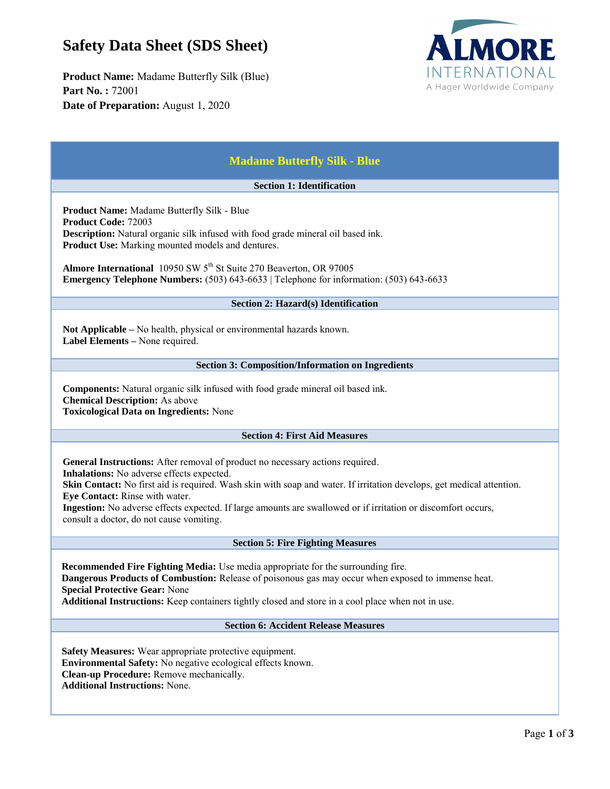## **Safety Data Sheet (SDS Sheet)**

**Product Name:** Madame Butterfly Silk (Blue) **Part No. :** 72001 **Date of Preparation:** August 1, 2020



| <b>Madame Butterfly Silk - Blue</b>                                                                                                                                                                                                                                                                                                                                                                                                                       |  |  |
|-----------------------------------------------------------------------------------------------------------------------------------------------------------------------------------------------------------------------------------------------------------------------------------------------------------------------------------------------------------------------------------------------------------------------------------------------------------|--|--|
| <b>Section 1: Identification</b>                                                                                                                                                                                                                                                                                                                                                                                                                          |  |  |
| <b>Product Name:</b> Madame Butterfly Silk - Blue<br><b>Product Code: 72003</b><br><b>Description:</b> Natural organic silk infused with food grade mineral oil based ink.<br><b>Product Use:</b> Marking mounted models and dentures.<br>Almore International 10950 SW 5 <sup>th</sup> St Suite 270 Beaverton, OR 97005<br><b>Emergency Telephone Numbers:</b> (503) 643-6633   Telephone for information: (503) 643-6633                                |  |  |
| Section 2: Hazard(s) Identification                                                                                                                                                                                                                                                                                                                                                                                                                       |  |  |
| Not Applicable - No health, physical or environmental hazards known.<br>Label Elements – None required.                                                                                                                                                                                                                                                                                                                                                   |  |  |
| <b>Section 3: Composition/Information on Ingredients</b>                                                                                                                                                                                                                                                                                                                                                                                                  |  |  |
| Components: Natural organic silk infused with food grade mineral oil based ink.<br><b>Chemical Description:</b> As above<br><b>Toxicological Data on Ingredients: None</b>                                                                                                                                                                                                                                                                                |  |  |
| <b>Section 4: First Aid Measures</b>                                                                                                                                                                                                                                                                                                                                                                                                                      |  |  |
| General Instructions: After removal of product no necessary actions required.<br>Inhalations: No adverse effects expected.<br><b>Skin Contact:</b> No first aid is required. Wash skin with soap and water. If irritation develops, get medical attention.<br>Eye Contact: Rinse with water.<br>Ingestion: No adverse effects expected. If large amounts are swallowed or if irritation or discomfort occurs,<br>consult a doctor, do not cause vomiting. |  |  |
| <b>Section 5: Fire Fighting Measures</b>                                                                                                                                                                                                                                                                                                                                                                                                                  |  |  |
| Recommended Fire Fighting Media: Use media appropriate for the surrounding fire.<br>Dangerous Products of Combustion: Release of poisonous gas may occur when exposed to immense heat.<br><b>Special Protective Gear: None</b><br>Additional Instructions: Keep containers tightly closed and store in a cool place when not in use.                                                                                                                      |  |  |
| <b>Section 6: Accident Release Measures</b>                                                                                                                                                                                                                                                                                                                                                                                                               |  |  |
| Safety Measures: Wear appropriate protective equipment.<br>Environmental Safety: No negative ecological effects known.<br>Clean-up Procedure: Remove mechanically.<br><b>Additional Instructions: None.</b>                                                                                                                                                                                                                                               |  |  |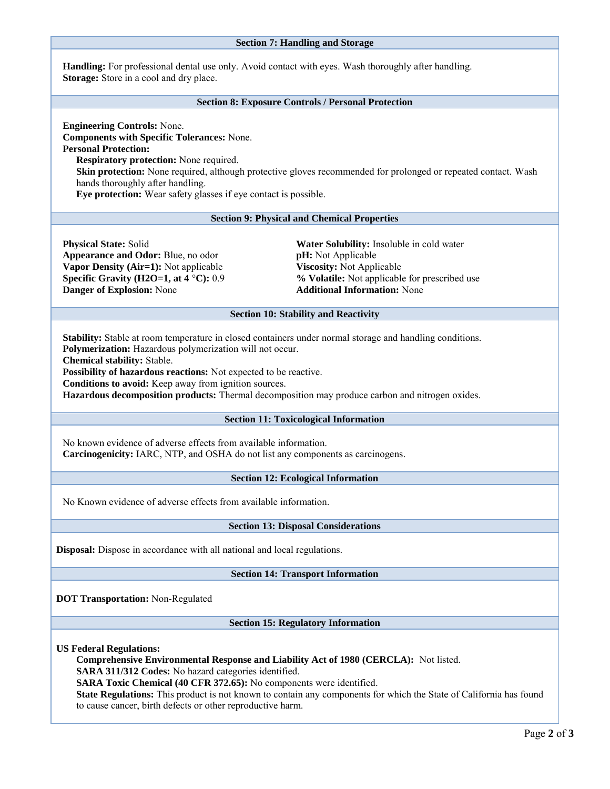|                                                                                                                                                                                                                                                                                                                                                                                                                                                                                                   | <b>Section 7: Handling and Storage</b>                                                                                                                                               |  |
|---------------------------------------------------------------------------------------------------------------------------------------------------------------------------------------------------------------------------------------------------------------------------------------------------------------------------------------------------------------------------------------------------------------------------------------------------------------------------------------------------|--------------------------------------------------------------------------------------------------------------------------------------------------------------------------------------|--|
| <b>Handling:</b> For professional dental use only. Avoid contact with eyes. Wash thoroughly after handling.<br><b>Storage:</b> Store in a cool and dry place.                                                                                                                                                                                                                                                                                                                                     |                                                                                                                                                                                      |  |
| <b>Section 8: Exposure Controls / Personal Protection</b>                                                                                                                                                                                                                                                                                                                                                                                                                                         |                                                                                                                                                                                      |  |
| <b>Engineering Controls: None.</b><br><b>Components with Specific Tolerances: None.</b><br><b>Personal Protection:</b><br><b>Respiratory protection:</b> None required.<br>Skin protection: None required, although protective gloves recommended for prolonged or repeated contact. Wash<br>hands thoroughly after handling.<br>Eye protection: Wear safety glasses if eye contact is possible.                                                                                                  |                                                                                                                                                                                      |  |
|                                                                                                                                                                                                                                                                                                                                                                                                                                                                                                   | <b>Section 9: Physical and Chemical Properties</b>                                                                                                                                   |  |
| <b>Physical State: Solid</b><br>Appearance and Odor: Blue, no odor<br>Vapor Density (Air=1): Not applicable<br>Specific Gravity (H2O=1, at 4 °C): 0.9<br>Danger of Explosion: None                                                                                                                                                                                                                                                                                                                | Water Solubility: Insoluble in cold water<br>pH: Not Applicable<br>Viscosity: Not Applicable<br>% Volatile: Not applicable for prescribed use<br><b>Additional Information: None</b> |  |
| <b>Section 10: Stability and Reactivity</b>                                                                                                                                                                                                                                                                                                                                                                                                                                                       |                                                                                                                                                                                      |  |
| <b>Stability:</b> Stable at room temperature in closed containers under normal storage and handling conditions.<br>Polymerization: Hazardous polymerization will not occur.<br><b>Chemical stability: Stable.</b><br>Possibility of hazardous reactions: Not expected to be reactive.<br>Conditions to avoid: Keep away from ignition sources.<br>Hazardous decomposition products: Thermal decomposition may produce carbon and nitrogen oxides.<br><b>Section 11: Toxicological Information</b> |                                                                                                                                                                                      |  |
| No known evidence of adverse effects from available information.<br>Carcinogenicity: IARC, NTP, and OSHA do not list any components as carcinogens.                                                                                                                                                                                                                                                                                                                                               |                                                                                                                                                                                      |  |
| <b>Section 12: Ecological Information</b>                                                                                                                                                                                                                                                                                                                                                                                                                                                         |                                                                                                                                                                                      |  |
| No Known evidence of adverse effects from available information.                                                                                                                                                                                                                                                                                                                                                                                                                                  |                                                                                                                                                                                      |  |
| <b>Section 13: Disposal Considerations</b>                                                                                                                                                                                                                                                                                                                                                                                                                                                        |                                                                                                                                                                                      |  |
| <b>Disposal:</b> Dispose in accordance with all national and local regulations.                                                                                                                                                                                                                                                                                                                                                                                                                   |                                                                                                                                                                                      |  |
| <b>Section 14: Transport Information</b>                                                                                                                                                                                                                                                                                                                                                                                                                                                          |                                                                                                                                                                                      |  |
| <b>DOT Transportation: Non-Regulated</b>                                                                                                                                                                                                                                                                                                                                                                                                                                                          |                                                                                                                                                                                      |  |
| <b>Section 15: Regulatory Information</b>                                                                                                                                                                                                                                                                                                                                                                                                                                                         |                                                                                                                                                                                      |  |
| <b>US Federal Regulations:</b><br>Comprehensive Environmental Response and Liability Act of 1980 (CERCLA): Not listed.<br>SARA 311/312 Codes: No hazard categories identified.<br>SARA Toxic Chemical (40 CFR 372.65): No components were identified.<br>State Regulations: This product is not known to contain any components for which the State of California has found<br>to cause cancer, birth defects or other reproductive harm.                                                         |                                                                                                                                                                                      |  |